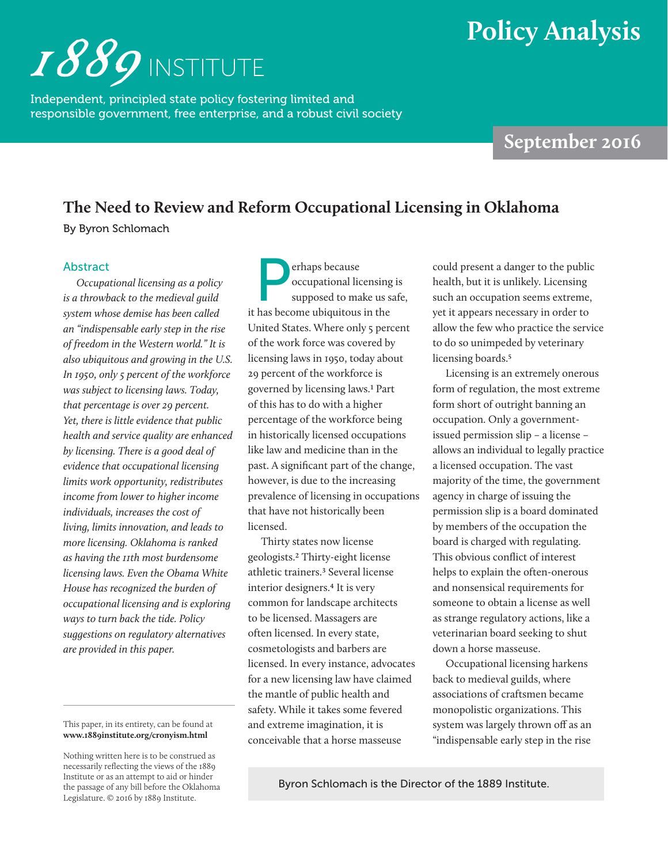# **Policy Analysis**



Independent, principled state policy fostering limited and responsible government, free enterprise, and a robust civil society

## **September 2016**

## **The Need to Review and Reform Occupational Licensing in Oklahoma**

By Byron Schlomach

### Abstract

*Occupational licensing as a policy is a throwback to the medieval guild system whose demise has been called an "indispensable early step in the rise of freedom in the Western world." It is also ubiquitous and growing in the U.S. In 1950, only 5 percent of the workforce was subject to licensing laws. Today, that percentage is over 29 percent. Yet, there is little evidence that public health and service quality are enhanced by licensing. There is a good deal of evidence that occupational licensing limits work opportunity, redistributes income from lower to higher income individuals, increases the cost of living, limits innovation, and leads to more licensing. Oklahoma is ranked as having the 11th most burdensome licensing laws. Even the Obama White House has recognized the burden of occupational licensing and is exploring ways to turn back the tide. Policy suggestions on regulatory alternatives are provided in this paper.*

This paper, in its entirety, can be found at **www.1889institute.org/cronyism.html**

Perhaps because<br>
occupational lic<br>
supposed to ma occupational licensing is supposed to make us safe, it has become ubiquitous in the United States. Where only 5 percent of the work force was covered by licensing laws in 1950, today about 29 percent of the workforce is governed by licensing laws.1 Part of this has to do with a higher percentage of the workforce being in historically licensed occupations like law and medicine than in the past. A significant part of the change, however, is due to the increasing prevalence of licensing in occupations that have not historically been licensed.

Thirty states now license geologists.2 Thirty-eight license athletic trainers.3 Several license interior designers.4 It is very common for landscape architects to be licensed. Massagers are often licensed. In every state, cosmetologists and barbers are licensed. In every instance, advocates for a new licensing law have claimed the mantle of public health and safety. While it takes some fevered and extreme imagination, it is conceivable that a horse masseuse

could present a danger to the public health, but it is unlikely. Licensing such an occupation seems extreme, yet it appears necessary in order to allow the few who practice the service to do so unimpeded by veterinary licensing boards.<sup>5</sup>

Licensing is an extremely onerous form of regulation, the most extreme form short of outright banning an occupation. Only a governmentissued permission slip – a license – allows an individual to legally practice a licensed occupation. The vast majority of the time, the government agency in charge of issuing the permission slip is a board dominated by members of the occupation the board is charged with regulating. This obvious conflict of interest helps to explain the often-onerous and nonsensical requirements for someone to obtain a license as well as strange regulatory actions, like a veterinarian board seeking to shut down a horse masseuse.

Occupational licensing harkens back to medieval guilds, where associations of craftsmen became monopolistic organizations. This system was largely thrown off as an "indispensable early step in the rise

Byron Schlomach is the Director of the 1889 Institute.

Nothing written here is to be construed as necessarily reflecting the views of the 1889 Institute or as an attempt to aid or hinder the passage of any bill before the Oklahoma Legislature. © 2016 by 1889 Institute.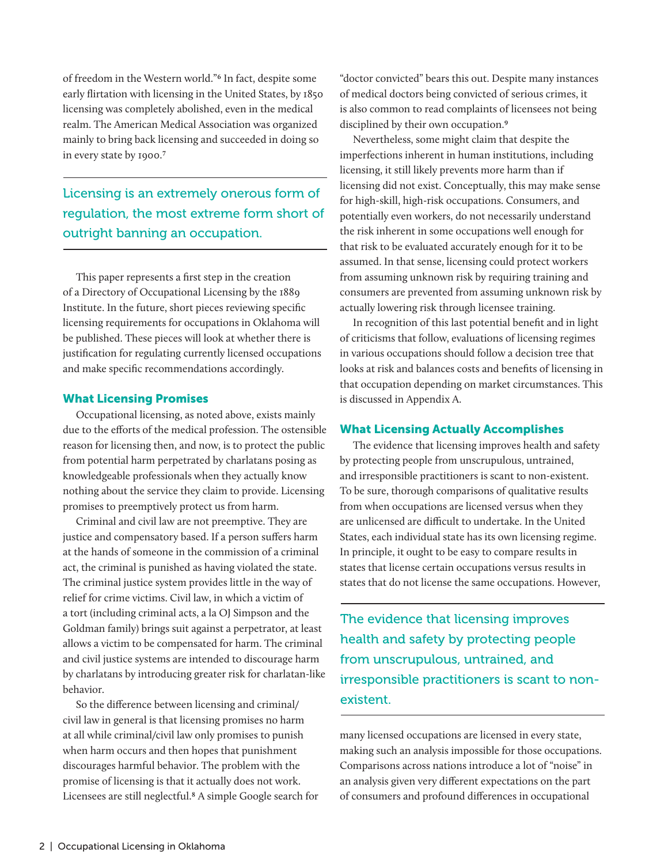of freedom in the Western world."6 In fact, despite some early flirtation with licensing in the United States, by 1850 licensing was completely abolished, even in the medical realm. The American Medical Association was organized mainly to bring back licensing and succeeded in doing so in every state by 1900.7

Licensing is an extremely onerous form of regulation, the most extreme form short of outright banning an occupation.

This paper represents a first step in the creation of a Directory of Occupational Licensing by the 1889 Institute. In the future, short pieces reviewing specific licensing requirements for occupations in Oklahoma will be published. These pieces will look at whether there is justification for regulating currently licensed occupations and make specific recommendations accordingly.

### What Licensing Promises

Occupational licensing, as noted above, exists mainly due to the efforts of the medical profession. The ostensible reason for licensing then, and now, is to protect the public from potential harm perpetrated by charlatans posing as knowledgeable professionals when they actually know nothing about the service they claim to provide. Licensing promises to preemptively protect us from harm.

Criminal and civil law are not preemptive. They are justice and compensatory based. If a person suffers harm at the hands of someone in the commission of a criminal act, the criminal is punished as having violated the state. The criminal justice system provides little in the way of relief for crime victims. Civil law, in which a victim of a tort (including criminal acts, a la OJ Simpson and the Goldman family) brings suit against a perpetrator, at least allows a victim to be compensated for harm. The criminal and civil justice systems are intended to discourage harm by charlatans by introducing greater risk for charlatan-like behavior.

So the difference between licensing and criminal/ civil law in general is that licensing promises no harm at all while criminal/civil law only promises to punish when harm occurs and then hopes that punishment discourages harmful behavior. The problem with the promise of licensing is that it actually does not work. Licensees are still neglectful.8 A simple Google search for

"doctor convicted" bears this out. Despite many instances of medical doctors being convicted of serious crimes, it is also common to read complaints of licensees not being disciplined by their own occupation.<sup>9</sup>

Nevertheless, some might claim that despite the imperfections inherent in human institutions, including licensing, it still likely prevents more harm than if licensing did not exist. Conceptually, this may make sense for high-skill, high-risk occupations. Consumers, and potentially even workers, do not necessarily understand the risk inherent in some occupations well enough for that risk to be evaluated accurately enough for it to be assumed. In that sense, licensing could protect workers from assuming unknown risk by requiring training and consumers are prevented from assuming unknown risk by actually lowering risk through licensee training.

In recognition of this last potential benefit and in light of criticisms that follow, evaluations of licensing regimes in various occupations should follow a decision tree that looks at risk and balances costs and benefits of licensing in that occupation depending on market circumstances. This is discussed in Appendix A.

#### What Licensing Actually Accomplishes

The evidence that licensing improves health and safety by protecting people from unscrupulous, untrained, and irresponsible practitioners is scant to non-existent. To be sure, thorough comparisons of qualitative results from when occupations are licensed versus when they are unlicensed are difficult to undertake. In the United States, each individual state has its own licensing regime. In principle, it ought to be easy to compare results in states that license certain occupations versus results in states that do not license the same occupations. However,

The evidence that licensing improves health and safety by protecting people from unscrupulous, untrained, and irresponsible practitioners is scant to nonexistent.

many licensed occupations are licensed in every state, making such an analysis impossible for those occupations. Comparisons across nations introduce a lot of "noise" in an analysis given very different expectations on the part of consumers and profound differences in occupational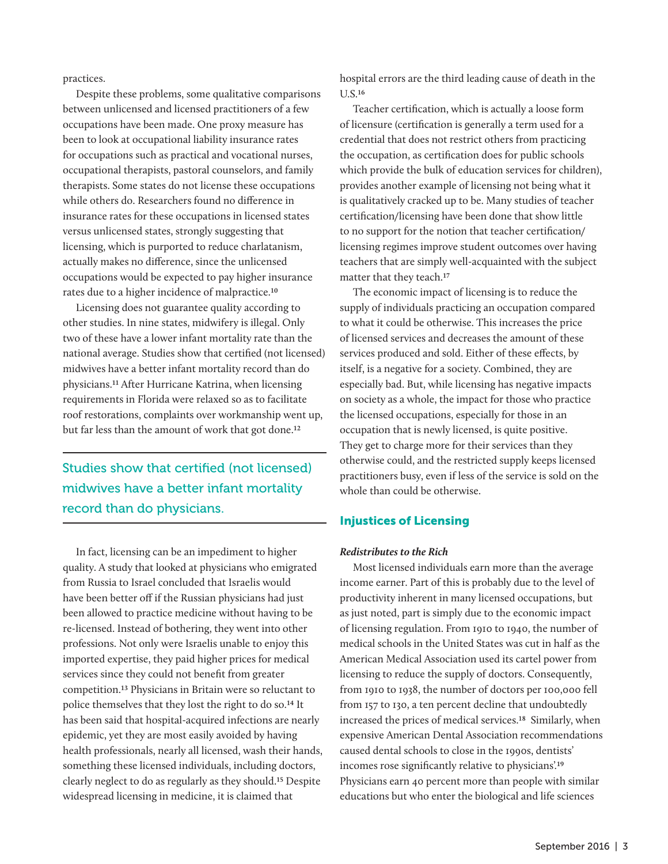practices.

Despite these problems, some qualitative comparisons between unlicensed and licensed practitioners of a few occupations have been made. One proxy measure has been to look at occupational liability insurance rates for occupations such as practical and vocational nurses, occupational therapists, pastoral counselors, and family therapists. Some states do not license these occupations while others do. Researchers found no difference in insurance rates for these occupations in licensed states versus unlicensed states, strongly suggesting that licensing, which is purported to reduce charlatanism, actually makes no difference, since the unlicensed occupations would be expected to pay higher insurance rates due to a higher incidence of malpractice.10

Licensing does not guarantee quality according to other studies. In nine states, midwifery is illegal. Only two of these have a lower infant mortality rate than the national average. Studies show that certified (not licensed) midwives have a better infant mortality record than do physicians.11 After Hurricane Katrina, when licensing requirements in Florida were relaxed so as to facilitate roof restorations, complaints over workmanship went up, but far less than the amount of work that got done.12

Studies show that certified (not licensed) midwives have a better infant mortality record than do physicians.

In fact, licensing can be an impediment to higher quality. A study that looked at physicians who emigrated from Russia to Israel concluded that Israelis would have been better off if the Russian physicians had just been allowed to practice medicine without having to be re-licensed. Instead of bothering, they went into other professions. Not only were Israelis unable to enjoy this imported expertise, they paid higher prices for medical services since they could not benefit from greater competition.13 Physicians in Britain were so reluctant to police themselves that they lost the right to do so.14 It has been said that hospital-acquired infections are nearly epidemic, yet they are most easily avoided by having health professionals, nearly all licensed, wash their hands, something these licensed individuals, including doctors, clearly neglect to do as regularly as they should.15 Despite widespread licensing in medicine, it is claimed that

hospital errors are the third leading cause of death in the U.S.16

Teacher certification, which is actually a loose form of licensure (certification is generally a term used for a credential that does not restrict others from practicing the occupation, as certification does for public schools which provide the bulk of education services for children), provides another example of licensing not being what it is qualitatively cracked up to be. Many studies of teacher certification/licensing have been done that show little to no support for the notion that teacher certification/ licensing regimes improve student outcomes over having teachers that are simply well-acquainted with the subject matter that they teach.17

The economic impact of licensing is to reduce the supply of individuals practicing an occupation compared to what it could be otherwise. This increases the price of licensed services and decreases the amount of these services produced and sold. Either of these effects, by itself, is a negative for a society. Combined, they are especially bad. But, while licensing has negative impacts on society as a whole, the impact for those who practice the licensed occupations, especially for those in an occupation that is newly licensed, is quite positive. They get to charge more for their services than they otherwise could, and the restricted supply keeps licensed practitioners busy, even if less of the service is sold on the whole than could be otherwise.

## Injustices of Licensing

### *Redistributes to the Rich*

Most licensed individuals earn more than the average income earner. Part of this is probably due to the level of productivity inherent in many licensed occupations, but as just noted, part is simply due to the economic impact of licensing regulation. From 1910 to 1940, the number of medical schools in the United States was cut in half as the American Medical Association used its cartel power from licensing to reduce the supply of doctors. Consequently, from 1910 to 1938, the number of doctors per 100,000 fell from 157 to 130, a ten percent decline that undoubtedly increased the prices of medical services.18 Similarly, when expensive American Dental Association recommendations caused dental schools to close in the 1990s, dentists' incomes rose significantly relative to physicians'.19 Physicians earn 40 percent more than people with similar educations but who enter the biological and life sciences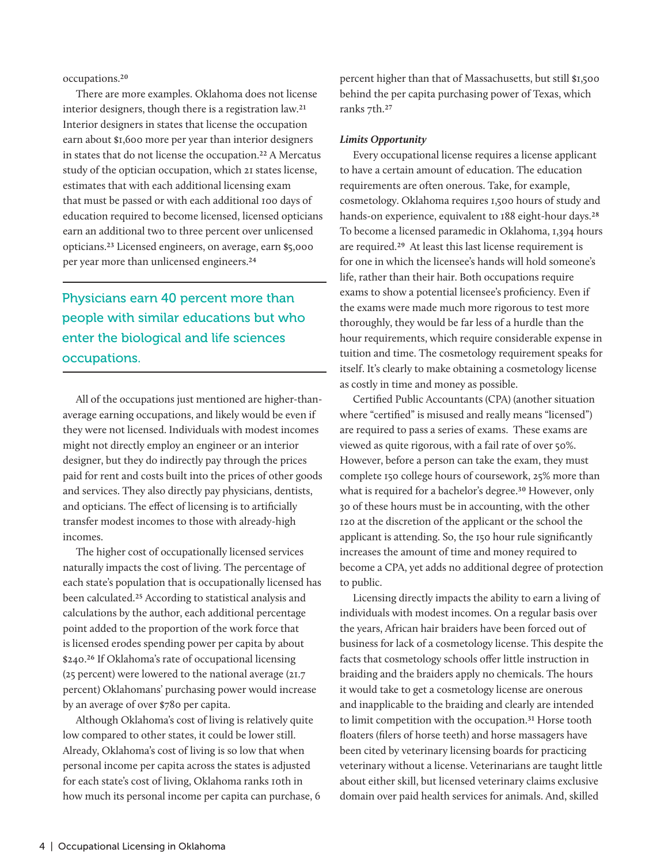occupations.20

There are more examples. Oklahoma does not license interior designers, though there is a registration law.21 Interior designers in states that license the occupation earn about \$1,600 more per year than interior designers in states that do not license the occupation.22 A Mercatus study of the optician occupation, which 21 states license, estimates that with each additional licensing exam that must be passed or with each additional 100 days of education required to become licensed, licensed opticians earn an additional two to three percent over unlicensed opticians.23 Licensed engineers, on average, earn \$5,000 per year more than unlicensed engineers.24

Physicians earn 40 percent more than people with similar educations but who enter the biological and life sciences occupations.

All of the occupations just mentioned are higher-thanaverage earning occupations, and likely would be even if they were not licensed. Individuals with modest incomes might not directly employ an engineer or an interior designer, but they do indirectly pay through the prices paid for rent and costs built into the prices of other goods and services. They also directly pay physicians, dentists, and opticians. The effect of licensing is to artificially transfer modest incomes to those with already-high incomes.

The higher cost of occupationally licensed services naturally impacts the cost of living. The percentage of each state's population that is occupationally licensed has been calculated.25 According to statistical analysis and calculations by the author, each additional percentage point added to the proportion of the work force that is licensed erodes spending power per capita by about \$240.26 If Oklahoma's rate of occupational licensing (25 percent) were lowered to the national average (21.7 percent) Oklahomans' purchasing power would increase by an average of over \$780 per capita.

Although Oklahoma's cost of living is relatively quite low compared to other states, it could be lower still. Already, Oklahoma's cost of living is so low that when personal income per capita across the states is adjusted for each state's cost of living, Oklahoma ranks 10th in how much its personal income per capita can purchase, 6

percent higher than that of Massachusetts, but still \$1,500 behind the per capita purchasing power of Texas, which ranks 7th.27

#### *Limits Opportunity*

Every occupational license requires a license applicant to have a certain amount of education. The education requirements are often onerous. Take, for example, cosmetology. Oklahoma requires 1,500 hours of study and hands-on experience, equivalent to 188 eight-hour days.<sup>28</sup> To become a licensed paramedic in Oklahoma, 1,394 hours are required.29 At least this last license requirement is for one in which the licensee's hands will hold someone's life, rather than their hair. Both occupations require exams to show a potential licensee's proficiency. Even if the exams were made much more rigorous to test more thoroughly, they would be far less of a hurdle than the hour requirements, which require considerable expense in tuition and time. The cosmetology requirement speaks for itself. It's clearly to make obtaining a cosmetology license as costly in time and money as possible.

Certified Public Accountants (CPA) (another situation where "certified" is misused and really means "licensed") are required to pass a series of exams. These exams are viewed as quite rigorous, with a fail rate of over 50%. However, before a person can take the exam, they must complete 150 college hours of coursework, 25% more than what is required for a bachelor's degree.<sup>30</sup> However, only 30 of these hours must be in accounting, with the other 120 at the discretion of the applicant or the school the applicant is attending. So, the 150 hour rule significantly increases the amount of time and money required to become a CPA, yet adds no additional degree of protection to public.

Licensing directly impacts the ability to earn a living of individuals with modest incomes. On a regular basis over the years, African hair braiders have been forced out of business for lack of a cosmetology license. This despite the facts that cosmetology schools offer little instruction in braiding and the braiders apply no chemicals. The hours it would take to get a cosmetology license are onerous and inapplicable to the braiding and clearly are intended to limit competition with the occupation.<sup>31</sup> Horse tooth floaters (filers of horse teeth) and horse massagers have been cited by veterinary licensing boards for practicing veterinary without a license. Veterinarians are taught little about either skill, but licensed veterinary claims exclusive domain over paid health services for animals. And, skilled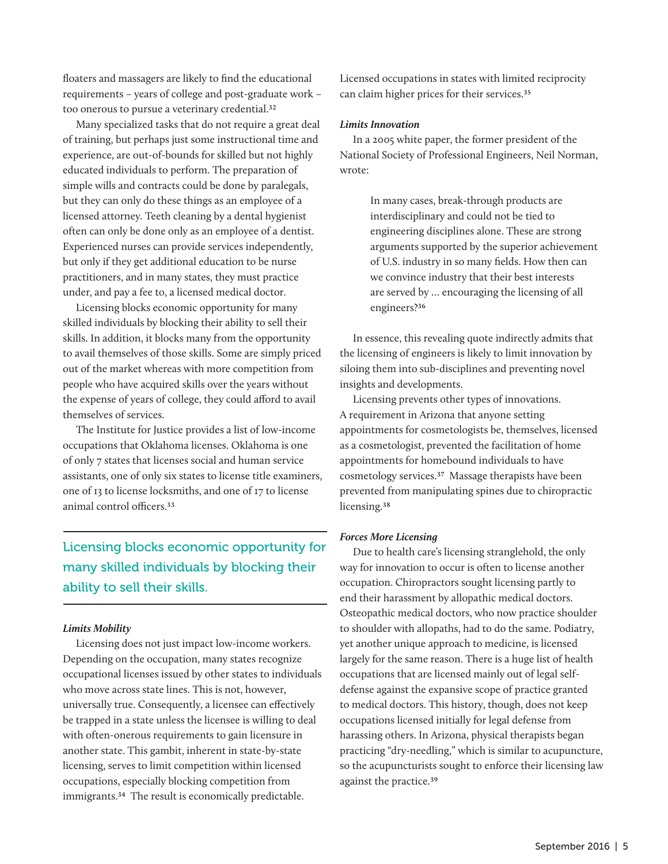floaters and massagers are likely to find the educational requirements – years of college and post-graduate work – too onerous to pursue a veterinary credential.32

Many specialized tasks that do not require a great deal of training, but perhaps just some instructional time and experience, are out-of-bounds for skilled but not highly educated individuals to perform. The preparation of simple wills and contracts could be done by paralegals, but they can only do these things as an employee of a licensed attorney. Teeth cleaning by a dental hygienist often can only be done only as an employee of a dentist. Experienced nurses can provide services independently, but only if they get additional education to be nurse practitioners, and in many states, they must practice under, and pay a fee to, a licensed medical doctor.

Licensing blocks economic opportunity for many skilled individuals by blocking their ability to sell their skills. In addition, it blocks many from the opportunity to avail themselves of those skills. Some are simply priced out of the market whereas with more competition from people who have acquired skills over the years without the expense of years of college, they could afford to avail themselves of services.

The Institute for Justice provides a list of low-income occupations that Oklahoma licenses. Oklahoma is one of only 7 states that licenses social and human service assistants, one of only six states to license title examiners, one of 13 to license locksmiths, and one of 17 to license animal control officers.33

Licensing blocks economic opportunity for many skilled individuals by blocking their ability to sell their skills.

### *Limits Mobility*

Licensing does not just impact low-income workers. Depending on the occupation, many states recognize occupational licenses issued by other states to individuals who move across state lines. This is not, however, universally true. Consequently, a licensee can effectively be trapped in a state unless the licensee is willing to deal with often-onerous requirements to gain licensure in another state. This gambit, inherent in state-by-state licensing, serves to limit competition within licensed occupations, especially blocking competition from immigrants.34 The result is economically predictable.

Licensed occupations in states with limited reciprocity can claim higher prices for their services.35

#### *Limits Innovation*

In a 2005 white paper, the former president of the National Society of Professional Engineers, Neil Norman, wrote:

> In many cases, break-through products are interdisciplinary and could not be tied to engineering disciplines alone. These are strong arguments supported by the superior achievement of U.S. industry in so many fields. How then can we convince industry that their best interests are served by … encouraging the licensing of all engineers?36

In essence, this revealing quote indirectly admits that the licensing of engineers is likely to limit innovation by siloing them into sub-disciplines and preventing novel insights and developments.

Licensing prevents other types of innovations. A requirement in Arizona that anyone setting appointments for cosmetologists be, themselves, licensed as a cosmetologist, prevented the facilitation of home appointments for homebound individuals to have cosmetology services.37 Massage therapists have been prevented from manipulating spines due to chiropractic licensing.<sup>38</sup>

#### *Forces More Licensing*

Due to health care's licensing stranglehold, the only way for innovation to occur is often to license another occupation. Chiropractors sought licensing partly to end their harassment by allopathic medical doctors. Osteopathic medical doctors, who now practice shoulder to shoulder with allopaths, had to do the same. Podiatry, yet another unique approach to medicine, is licensed largely for the same reason. There is a huge list of health occupations that are licensed mainly out of legal selfdefense against the expansive scope of practice granted to medical doctors. This history, though, does not keep occupations licensed initially for legal defense from harassing others. In Arizona, physical therapists began practicing "dry-needling," which is similar to acupuncture, so the acupuncturists sought to enforce their licensing law against the practice.39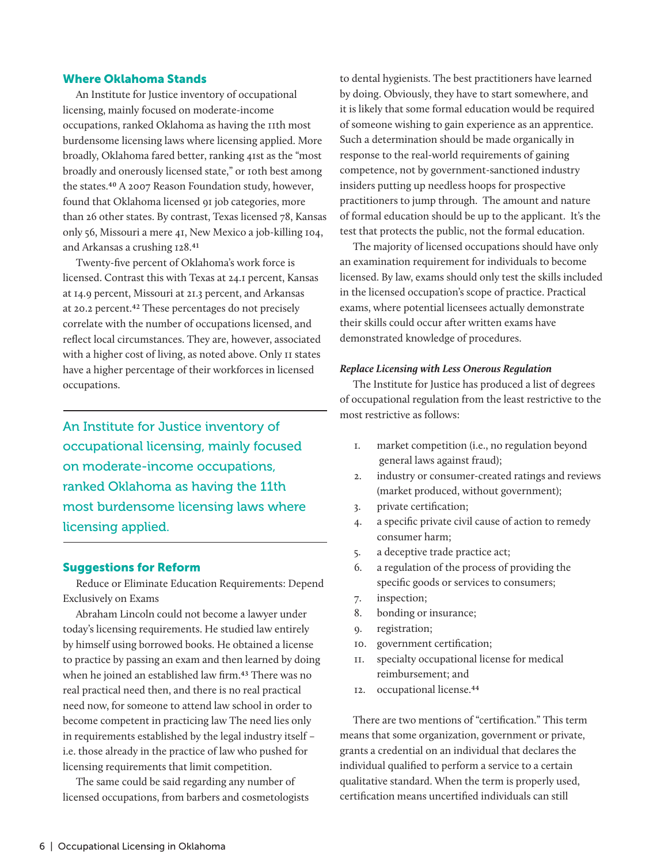### Where Oklahoma Stands

An Institute for Justice inventory of occupational licensing, mainly focused on moderate-income occupations, ranked Oklahoma as having the 11th most burdensome licensing laws where licensing applied. More broadly, Oklahoma fared better, ranking 41st as the "most broadly and onerously licensed state," or 10th best among the states.40 A 2007 Reason Foundation study, however, found that Oklahoma licensed 91 job categories, more than 26 other states. By contrast, Texas licensed 78, Kansas only 56, Missouri a mere 41, New Mexico a job-killing 104, and Arkansas a crushing 128.41

Twenty-five percent of Oklahoma's work force is licensed. Contrast this with Texas at 24.1 percent, Kansas at 14.9 percent, Missouri at 21.3 percent, and Arkansas at 20.2 percent.42 These percentages do not precisely correlate with the number of occupations licensed, and reflect local circumstances. They are, however, associated with a higher cost of living, as noted above. Only 11 states have a higher percentage of their workforces in licensed occupations.

An Institute for Justice inventory of occupational licensing, mainly focused on moderate-income occupations, ranked Oklahoma as having the 11th most burdensome licensing laws where licensing applied.

### Suggestions for Reform

Reduce or Eliminate Education Requirements: Depend Exclusively on Exams

Abraham Lincoln could not become a lawyer under today's licensing requirements. He studied law entirely by himself using borrowed books. He obtained a license to practice by passing an exam and then learned by doing when he joined an established law firm.43 There was no real practical need then, and there is no real practical need now, for someone to attend law school in order to become competent in practicing law The need lies only in requirements established by the legal industry itself – i.e. those already in the practice of law who pushed for licensing requirements that limit competition.

The same could be said regarding any number of licensed occupations, from barbers and cosmetologists to dental hygienists. The best practitioners have learned by doing. Obviously, they have to start somewhere, and it is likely that some formal education would be required of someone wishing to gain experience as an apprentice. Such a determination should be made organically in response to the real-world requirements of gaining competence, not by government-sanctioned industry insiders putting up needless hoops for prospective practitioners to jump through. The amount and nature of formal education should be up to the applicant. It's the test that protects the public, not the formal education.

The majority of licensed occupations should have only an examination requirement for individuals to become licensed. By law, exams should only test the skills included in the licensed occupation's scope of practice. Practical exams, where potential licensees actually demonstrate their skills could occur after written exams have demonstrated knowledge of procedures.

#### *Replace Licensing with Less Onerous Regulation*

The Institute for Justice has produced a list of degrees of occupational regulation from the least restrictive to the most restrictive as follows:

- 1. market competition (i.e., no regulation beyond general laws against fraud);
- 2. industry or consumer-created ratings and reviews (market produced, without government);
- 3. private certification;
- 4. a specific private civil cause of action to remedy consumer harm;
- 5. a deceptive trade practice act;
- 6. a regulation of the process of providing the specific goods or services to consumers;
- 7. inspection;
- 8. bonding or insurance;
- 9. registration;
- 10. government certification;
- 11. specialty occupational license for medical reimbursement; and
- 12. occupational license.44

There are two mentions of "certification." This term means that some organization, government or private, grants a credential on an individual that declares the individual qualified to perform a service to a certain qualitative standard. When the term is properly used, certification means uncertified individuals can still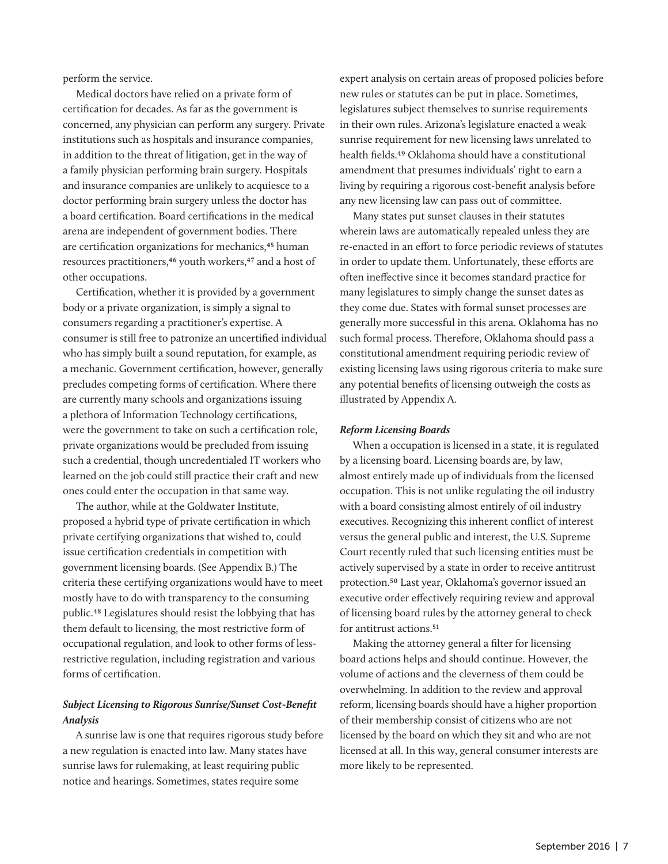perform the service.

Medical doctors have relied on a private form of certification for decades. As far as the government is concerned, any physician can perform any surgery. Private institutions such as hospitals and insurance companies, in addition to the threat of litigation, get in the way of a family physician performing brain surgery. Hospitals and insurance companies are unlikely to acquiesce to a doctor performing brain surgery unless the doctor has a board certification. Board certifications in the medical arena are independent of government bodies. There are certification organizations for mechanics,<sup>45</sup> human resources practitioners,46 youth workers,47 and a host of other occupations.

Certification, whether it is provided by a government body or a private organization, is simply a signal to consumers regarding a practitioner's expertise. A consumer is still free to patronize an uncertified individual who has simply built a sound reputation, for example, as a mechanic. Government certification, however, generally precludes competing forms of certification. Where there are currently many schools and organizations issuing a plethora of Information Technology certifications, were the government to take on such a certification role, private organizations would be precluded from issuing such a credential, though uncredentialed IT workers who learned on the job could still practice their craft and new ones could enter the occupation in that same way.

The author, while at the Goldwater Institute, proposed a hybrid type of private certification in which private certifying organizations that wished to, could issue certification credentials in competition with government licensing boards. (See Appendix B.) The criteria these certifying organizations would have to meet mostly have to do with transparency to the consuming public.48 Legislatures should resist the lobbying that has them default to licensing, the most restrictive form of occupational regulation, and look to other forms of lessrestrictive regulation, including registration and various forms of certification.

## *Subject Licensing to Rigorous Sunrise/Sunset Cost-Benefit Analysis*

A sunrise law is one that requires rigorous study before a new regulation is enacted into law. Many states have sunrise laws for rulemaking, at least requiring public notice and hearings. Sometimes, states require some

expert analysis on certain areas of proposed policies before new rules or statutes can be put in place. Sometimes, legislatures subject themselves to sunrise requirements in their own rules. Arizona's legislature enacted a weak sunrise requirement for new licensing laws unrelated to health fields.49 Oklahoma should have a constitutional amendment that presumes individuals' right to earn a living by requiring a rigorous cost-benefit analysis before any new licensing law can pass out of committee.

Many states put sunset clauses in their statutes wherein laws are automatically repealed unless they are re-enacted in an effort to force periodic reviews of statutes in order to update them. Unfortunately, these efforts are often ineffective since it becomes standard practice for many legislatures to simply change the sunset dates as they come due. States with formal sunset processes are generally more successful in this arena. Oklahoma has no such formal process. Therefore, Oklahoma should pass a constitutional amendment requiring periodic review of existing licensing laws using rigorous criteria to make sure any potential benefits of licensing outweigh the costs as illustrated by Appendix A.

#### *Reform Licensing Boards*

When a occupation is licensed in a state, it is regulated by a licensing board. Licensing boards are, by law, almost entirely made up of individuals from the licensed occupation. This is not unlike regulating the oil industry with a board consisting almost entirely of oil industry executives. Recognizing this inherent conflict of interest versus the general public and interest, the U.S. Supreme Court recently ruled that such licensing entities must be actively supervised by a state in order to receive antitrust protection.50 Last year, Oklahoma's governor issued an executive order effectively requiring review and approval of licensing board rules by the attorney general to check for antitrust actions.<sup>51</sup>

Making the attorney general a filter for licensing board actions helps and should continue. However, the volume of actions and the cleverness of them could be overwhelming. In addition to the review and approval reform, licensing boards should have a higher proportion of their membership consist of citizens who are not licensed by the board on which they sit and who are not licensed at all. In this way, general consumer interests are more likely to be represented.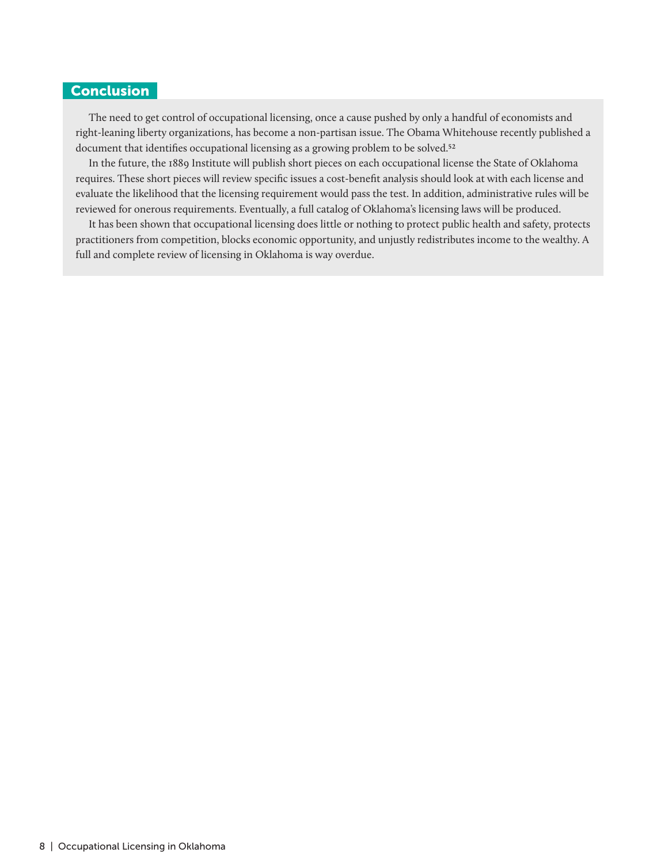## **Conclusion**

The need to get control of occupational licensing, once a cause pushed by only a handful of economists and right-leaning liberty organizations, has become a non-partisan issue. The Obama Whitehouse recently published a document that identifies occupational licensing as a growing problem to be solved.<sup>52</sup>

In the future, the 1889 Institute will publish short pieces on each occupational license the State of Oklahoma requires. These short pieces will review specific issues a cost-benefit analysis should look at with each license and evaluate the likelihood that the licensing requirement would pass the test. In addition, administrative rules will be reviewed for onerous requirements. Eventually, a full catalog of Oklahoma's licensing laws will be produced.

It has been shown that occupational licensing does little or nothing to protect public health and safety, protects practitioners from competition, blocks economic opportunity, and unjustly redistributes income to the wealthy. A full and complete review of licensing in Oklahoma is way overdue.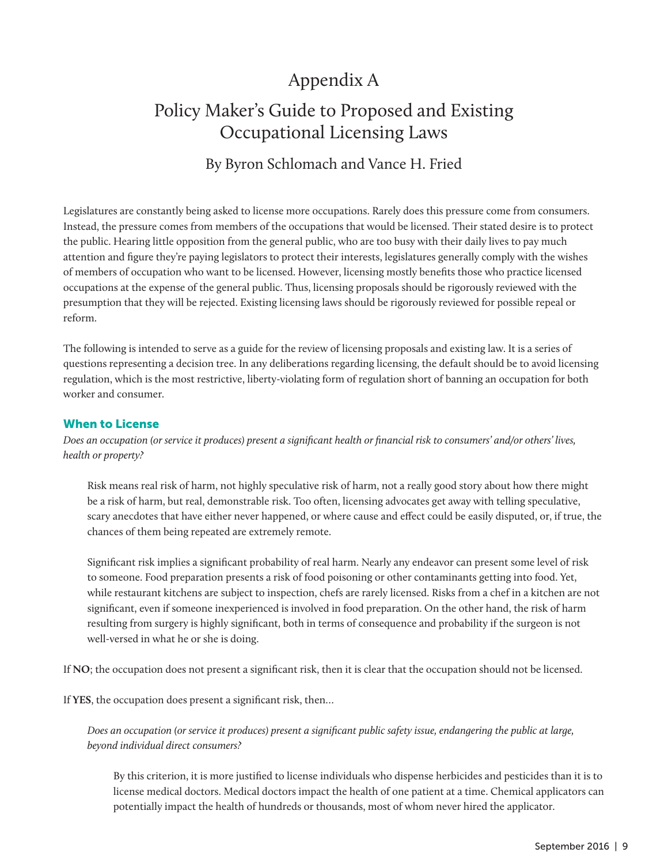## Appendix A

## Policy Maker's Guide to Proposed and Existing Occupational Licensing Laws

## By Byron Schlomach and Vance H. Fried

Legislatures are constantly being asked to license more occupations. Rarely does this pressure come from consumers. Instead, the pressure comes from members of the occupations that would be licensed. Their stated desire is to protect the public. Hearing little opposition from the general public, who are too busy with their daily lives to pay much attention and figure they're paying legislators to protect their interests, legislatures generally comply with the wishes of members of occupation who want to be licensed. However, licensing mostly benefits those who practice licensed occupations at the expense of the general public. Thus, licensing proposals should be rigorously reviewed with the presumption that they will be rejected. Existing licensing laws should be rigorously reviewed for possible repeal or reform.

The following is intended to serve as a guide for the review of licensing proposals and existing law. It is a series of questions representing a decision tree. In any deliberations regarding licensing, the default should be to avoid licensing regulation, which is the most restrictive, liberty-violating form of regulation short of banning an occupation for both worker and consumer.

## When to License

*Does an occupation (or service it produces) present a significant health or financial risk to consumers' and/or others' lives, health or property?*

Risk means real risk of harm, not highly speculative risk of harm, not a really good story about how there might be a risk of harm, but real, demonstrable risk. Too often, licensing advocates get away with telling speculative, scary anecdotes that have either never happened, or where cause and effect could be easily disputed, or, if true, the chances of them being repeated are extremely remote.

Significant risk implies a significant probability of real harm. Nearly any endeavor can present some level of risk to someone. Food preparation presents a risk of food poisoning or other contaminants getting into food. Yet, while restaurant kitchens are subject to inspection, chefs are rarely licensed. Risks from a chef in a kitchen are not significant, even if someone inexperienced is involved in food preparation. On the other hand, the risk of harm resulting from surgery is highly significant, both in terms of consequence and probability if the surgeon is not well-versed in what he or she is doing.

If **NO**; the occupation does not present a significant risk, then it is clear that the occupation should not be licensed.

If **YES**, the occupation does present a significant risk, then…

*Does an occupation (or service it produces) present a significant public safety issue, endangering the public at large, beyond individual direct consumers?*

By this criterion, it is more justified to license individuals who dispense herbicides and pesticides than it is to license medical doctors. Medical doctors impact the health of one patient at a time. Chemical applicators can potentially impact the health of hundreds or thousands, most of whom never hired the applicator.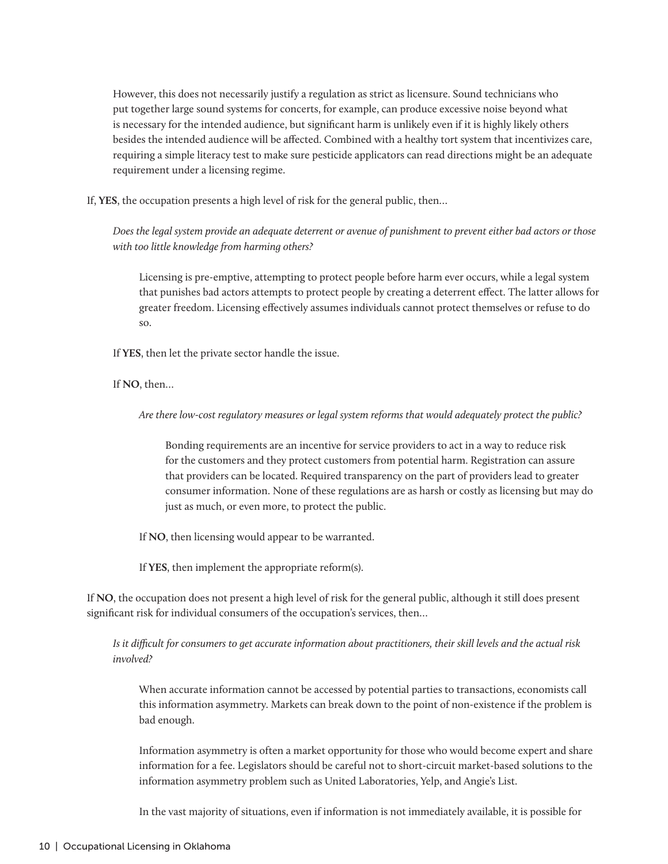However, this does not necessarily justify a regulation as strict as licensure. Sound technicians who put together large sound systems for concerts, for example, can produce excessive noise beyond what is necessary for the intended audience, but significant harm is unlikely even if it is highly likely others besides the intended audience will be affected. Combined with a healthy tort system that incentivizes care, requiring a simple literacy test to make sure pesticide applicators can read directions might be an adequate requirement under a licensing regime.

If, **YES**, the occupation presents a high level of risk for the general public, then…

*Does the legal system provide an adequate deterrent or avenue of punishment to prevent either bad actors or those with too little knowledge from harming others?* 

Licensing is pre-emptive, attempting to protect people before harm ever occurs, while a legal system that punishes bad actors attempts to protect people by creating a deterrent effect. The latter allows for greater freedom. Licensing effectively assumes individuals cannot protect themselves or refuse to do so.

If **YES**, then let the private sector handle the issue.

If **NO**, then…

*Are there low-cost regulatory measures or legal system reforms that would adequately protect the public?*

Bonding requirements are an incentive for service providers to act in a way to reduce risk for the customers and they protect customers from potential harm. Registration can assure that providers can be located. Required transparency on the part of providers lead to greater consumer information. None of these regulations are as harsh or costly as licensing but may do just as much, or even more, to protect the public.

If **NO**, then licensing would appear to be warranted.

If **YES**, then implement the appropriate reform(s).

If **NO**, the occupation does not present a high level of risk for the general public, although it still does present significant risk for individual consumers of the occupation's services, then…

*Is it difficult for consumers to get accurate information about practitioners, their skill levels and the actual risk involved?*

When accurate information cannot be accessed by potential parties to transactions, economists call this information asymmetry. Markets can break down to the point of non-existence if the problem is bad enough.

Information asymmetry is often a market opportunity for those who would become expert and share information for a fee. Legislators should be careful not to short-circuit market-based solutions to the information asymmetry problem such as United Laboratories, Yelp, and Angie's List.

In the vast majority of situations, even if information is not immediately available, it is possible for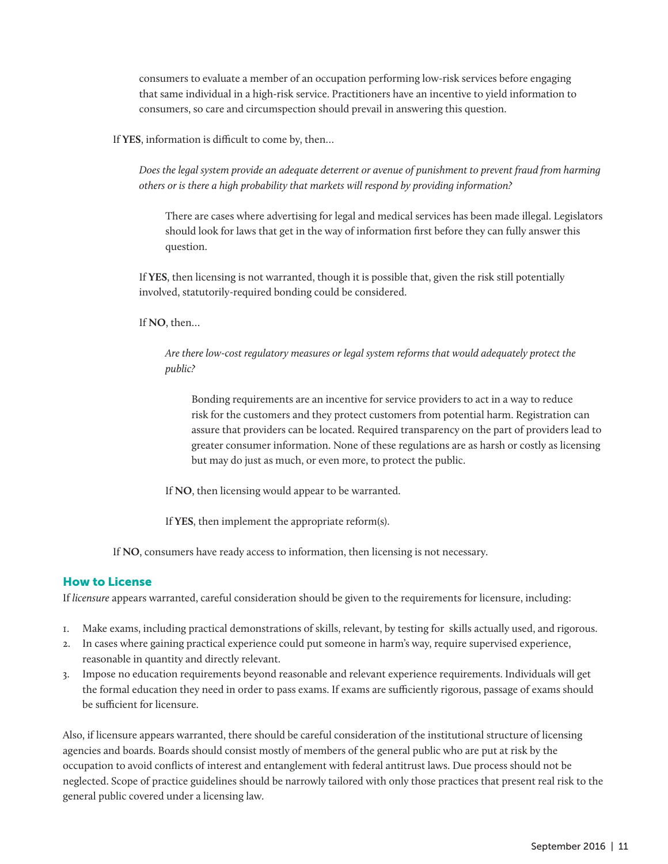consumers to evaluate a member of an occupation performing low-risk services before engaging that same individual in a high-risk service. Practitioners have an incentive to yield information to consumers, so care and circumspection should prevail in answering this question.

If **YES**, information is difficult to come by, then…

*Does the legal system provide an adequate deterrent or avenue of punishment to prevent fraud from harming others or is there a high probability that markets will respond by providing information?* 

There are cases where advertising for legal and medical services has been made illegal. Legislators should look for laws that get in the way of information first before they can fully answer this question.

If **YES**, then licensing is not warranted, though it is possible that, given the risk still potentially involved, statutorily-required bonding could be considered.

If **NO**, then…

*Are there low-cost regulatory measures or legal system reforms that would adequately protect the public?*

Bonding requirements are an incentive for service providers to act in a way to reduce risk for the customers and they protect customers from potential harm. Registration can assure that providers can be located. Required transparency on the part of providers lead to greater consumer information. None of these regulations are as harsh or costly as licensing but may do just as much, or even more, to protect the public.

If **NO**, then licensing would appear to be warranted.

If **YES**, then implement the appropriate reform(s).

If **NO**, consumers have ready access to information, then licensing is not necessary.

### How to License

If *licensure* appears warranted, careful consideration should be given to the requirements for licensure, including:

- 1. Make exams, including practical demonstrations of skills, relevant, by testing for skills actually used, and rigorous.
- 2. In cases where gaining practical experience could put someone in harm's way, require supervised experience, reasonable in quantity and directly relevant.
- 3. Impose no education requirements beyond reasonable and relevant experience requirements. Individuals will get the formal education they need in order to pass exams. If exams are sufficiently rigorous, passage of exams should be sufficient for licensure.

Also, if licensure appears warranted, there should be careful consideration of the institutional structure of licensing agencies and boards. Boards should consist mostly of members of the general public who are put at risk by the occupation to avoid conflicts of interest and entanglement with federal antitrust laws. Due process should not be neglected. Scope of practice guidelines should be narrowly tailored with only those practices that present real risk to the general public covered under a licensing law.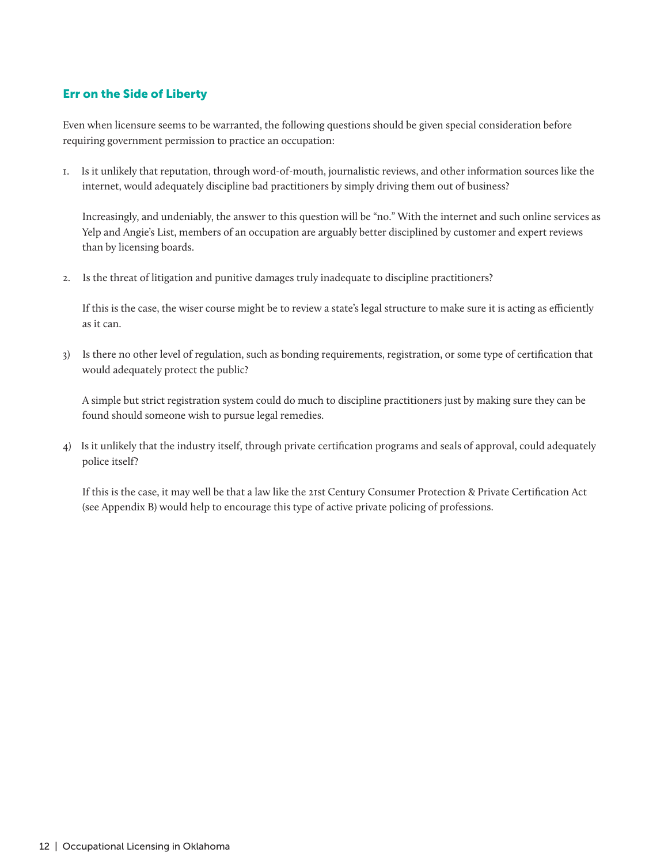## Err on the Side of Liberty

Even when licensure seems to be warranted, the following questions should be given special consideration before requiring government permission to practice an occupation:

1. Is it unlikely that reputation, through word-of-mouth, journalistic reviews, and other information sources like the internet, would adequately discipline bad practitioners by simply driving them out of business?

 Increasingly, and undeniably, the answer to this question will be "no." With the internet and such online services as Yelp and Angie's List, members of an occupation are arguably better disciplined by customer and expert reviews than by licensing boards.

2. Is the threat of litigation and punitive damages truly inadequate to discipline practitioners?

 If this is the case, the wiser course might be to review a state's legal structure to make sure it is acting as efficiently as it can.

3) Is there no other level of regulation, such as bonding requirements, registration, or some type of certification that would adequately protect the public?

 A simple but strict registration system could do much to discipline practitioners just by making sure they can be found should someone wish to pursue legal remedies.

4) Is it unlikely that the industry itself, through private certification programs and seals of approval, could adequately police itself?

 If this is the case, it may well be that a law like the 21st Century Consumer Protection & Private Certification Act (see Appendix B) would help to encourage this type of active private policing of professions.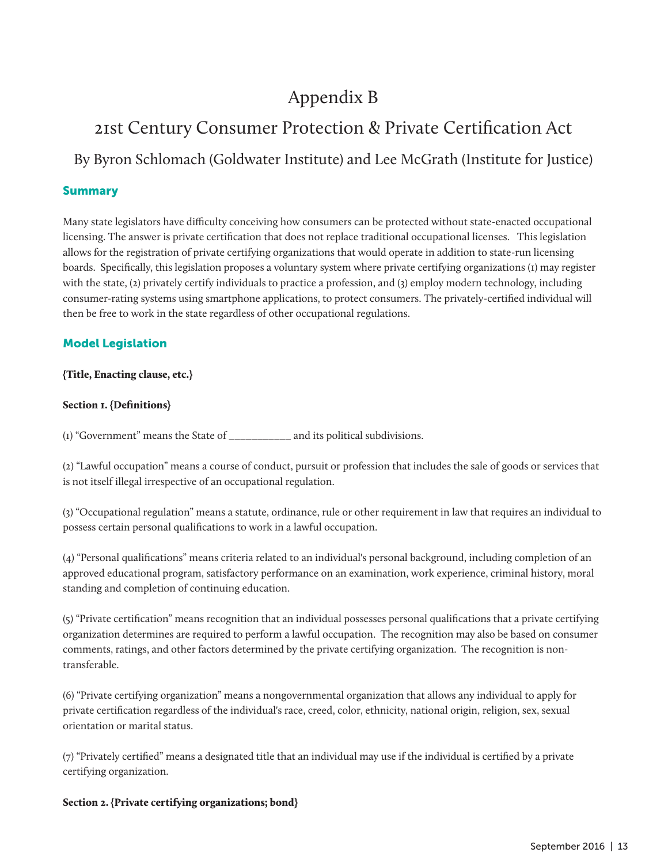## Appendix B

## 21st Century Consumer Protection & Private Certification Act

By Byron Schlomach (Goldwater Institute) and Lee McGrath (Institute for Justice)

## Summary

Many state legislators have difficulty conceiving how consumers can be protected without state-enacted occupational licensing. The answer is private certification that does not replace traditional occupational licenses. This legislation allows for the registration of private certifying organizations that would operate in addition to state-run licensing boards. Specifically, this legislation proposes a voluntary system where private certifying organizations (1) may register with the state, (2) privately certify individuals to practice a profession, and (3) employ modern technology, including consumer-rating systems using smartphone applications, to protect consumers. The privately-certified individual will then be free to work in the state regardless of other occupational regulations.

## Model Legislation

### {Title, Enacting clause, etc.}

### Section 1. {Definitions}

(1) "Government" means the State of \_\_\_\_\_\_\_\_\_\_\_ and its political subdivisions.

(2) "Lawful occupation" means a course of conduct, pursuit or profession that includes the sale of goods or services that is not itself illegal irrespective of an occupational regulation.

(3) "Occupational regulation" means a statute, ordinance, rule or other requirement in law that requires an individual to possess certain personal qualifications to work in a lawful occupation.

(4) "Personal qualifications" means criteria related to an individual's personal background, including completion of an approved educational program, satisfactory performance on an examination, work experience, criminal history, moral standing and completion of continuing education.

(5) "Private certification" means recognition that an individual possesses personal qualifications that a private certifying organization determines are required to perform a lawful occupation. The recognition may also be based on consumer comments, ratings, and other factors determined by the private certifying organization. The recognition is nontransferable.

(6) "Private certifying organization" means a nongovernmental organization that allows any individual to apply for private certification regardless of the individual's race, creed, color, ethnicity, national origin, religion, sex, sexual orientation or marital status.

(7) "Privately certified" means a designated title that an individual may use if the individual is certified by a private certifying organization.

### Section 2. {Private certifying organizations; bond}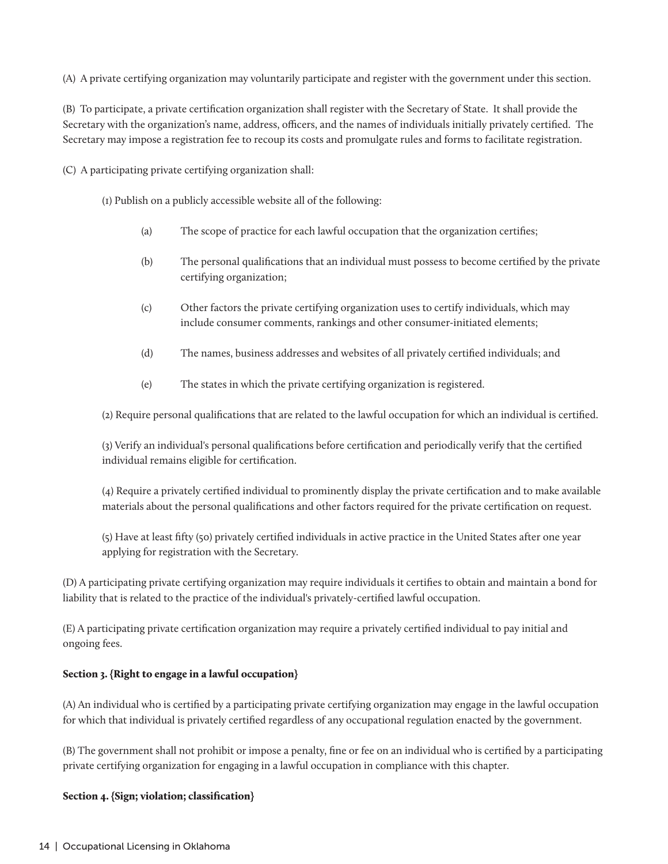(A) A private certifying organization may voluntarily participate and register with the government under this section.

(B) To participate, a private certification organization shall register with the Secretary of State. It shall provide the Secretary with the organization's name, address, officers, and the names of individuals initially privately certified. The Secretary may impose a registration fee to recoup its costs and promulgate rules and forms to facilitate registration.

(C) A participating private certifying organization shall:

(1) Publish on a publicly accessible website all of the following:

- (a) The scope of practice for each lawful occupation that the organization certifies;
- (b) The personal qualifications that an individual must possess to become certified by the private certifying organization;
- (c) Other factors the private certifying organization uses to certify individuals, which may include consumer comments, rankings and other consumer-initiated elements;
- (d) The names, business addresses and websites of all privately certified individuals; and
- (e) The states in which the private certifying organization is registered.

(2) Require personal qualifications that are related to the lawful occupation for which an individual is certified.

(3) Verify an individual's personal qualifications before certification and periodically verify that the certified individual remains eligible for certification.

(4) Require a privately certified individual to prominently display the private certification and to make available materials about the personal qualifications and other factors required for the private certification on request.

(5) Have at least fifty (50) privately certified individuals in active practice in the United States after one year applying for registration with the Secretary.

(D) A participating private certifying organization may require individuals it certifies to obtain and maintain a bond for liability that is related to the practice of the individual's privately-certified lawful occupation.

(E) A participating private certification organization may require a privately certified individual to pay initial and ongoing fees.

### Section 3. {Right to engage in a lawful occupation}

(A) An individual who is certified by a participating private certifying organization may engage in the lawful occupation for which that individual is privately certified regardless of any occupational regulation enacted by the government.

(B) The government shall not prohibit or impose a penalty, fine or fee on an individual who is certified by a participating private certifying organization for engaging in a lawful occupation in compliance with this chapter.

### Section 4. {Sign; violation; classification}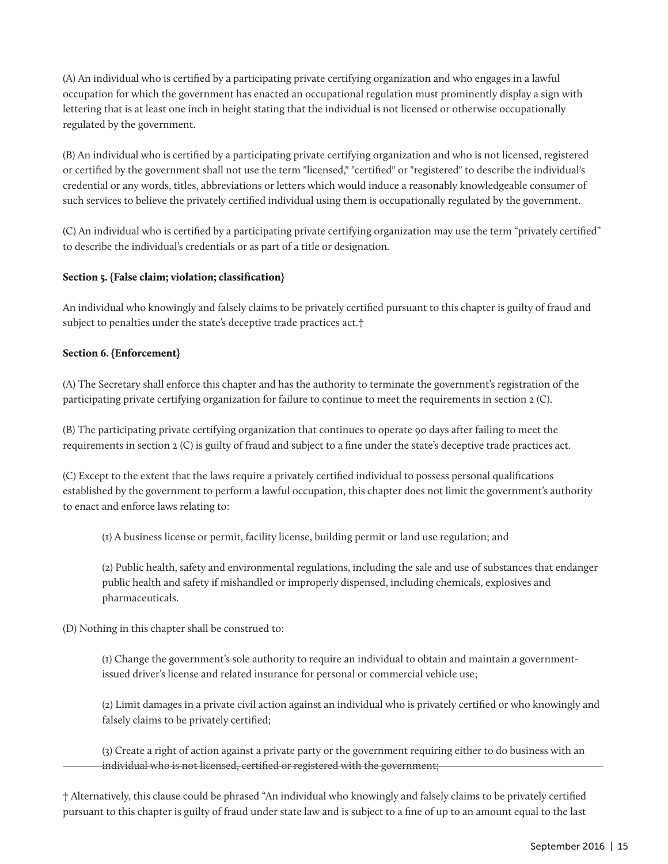(A) An individual who is certified by a participating private certifying organization and who engages in a lawful occupation for which the government has enacted an occupational regulation must prominently display a sign with lettering that is at least one inch in height stating that the individual is not licensed or otherwise occupationally regulated by the government.

(B) An individual who is certified by a participating private certifying organization and who is not licensed, registered or certified by the government shall not use the term "licensed," "certified" or "registered" to describe the individual's credential or any words, titles, abbreviations or letters which would induce a reasonably knowledgeable consumer of such services to believe the privately certified individual using them is occupationally regulated by the government.

(C) An individual who is certified by a participating private certifying organization may use the term "privately certified" to describe the individual's credentials or as part of a title or designation.

## Section 5. {False claim; violation; classification}

An individual who knowingly and falsely claims to be privately certified pursuant to this chapter is guilty of fraud and subject to penalties under the state's deceptive trade practices act.†

## Section 6. {Enforcement}

(A) The Secretary shall enforce this chapter and has the authority to terminate the government's registration of the participating private certifying organization for failure to continue to meet the requirements in section 2 (C).

(B) The participating private certifying organization that continues to operate 90 days after failing to meet the requirements in section 2 (C) is guilty of fraud and subject to a fine under the state's deceptive trade practices act.

(C) Except to the extent that the laws require a privately certified individual to possess personal qualifications established by the government to perform a lawful occupation, this chapter does not limit the government's authority to enact and enforce laws relating to:

(1) A business license or permit, facility license, building permit or land use regulation; and

(2) Public health, safety and environmental regulations, including the sale and use of substances that endanger public health and safety if mishandled or improperly dispensed, including chemicals, explosives and pharmaceuticals.

(D) Nothing in this chapter shall be construed to:

(1) Change the government's sole authority to require an individual to obtain and maintain a governmentissued driver's license and related insurance for personal or commercial vehicle use;

(2) Limit damages in a private civil action against an individual who is privately certified or who knowingly and falsely claims to be privately certified;

(3) Create a right of action against a private party or the government requiring either to do business with an individual who is not licensed, certified or registered with the government;

† Alternatively, this clause could be phrased "An individual who knowingly and falsely claims to be privately certified pursuant to this chapter is guilty of fraud under state law and is subject to a fine of up to an amount equal to the last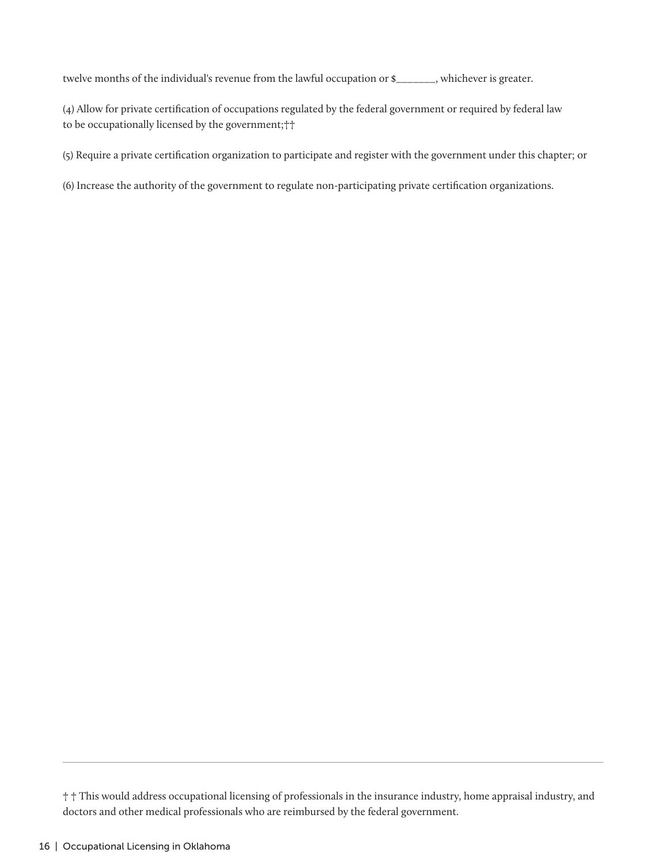twelve months of the individual's revenue from the lawful occupation or \$\_\_\_\_\_\_\_, whichever is greater.

(4) Allow for private certification of occupations regulated by the federal government or required by federal law to be occupationally licensed by the government;††

(5) Require a private certification organization to participate and register with the government under this chapter; or

(6) Increase the authority of the government to regulate non-participating private certification organizations.

<sup>† †</sup> This would address occupational licensing of professionals in the insurance industry, home appraisal industry, and doctors and other medical professionals who are reimbursed by the federal government.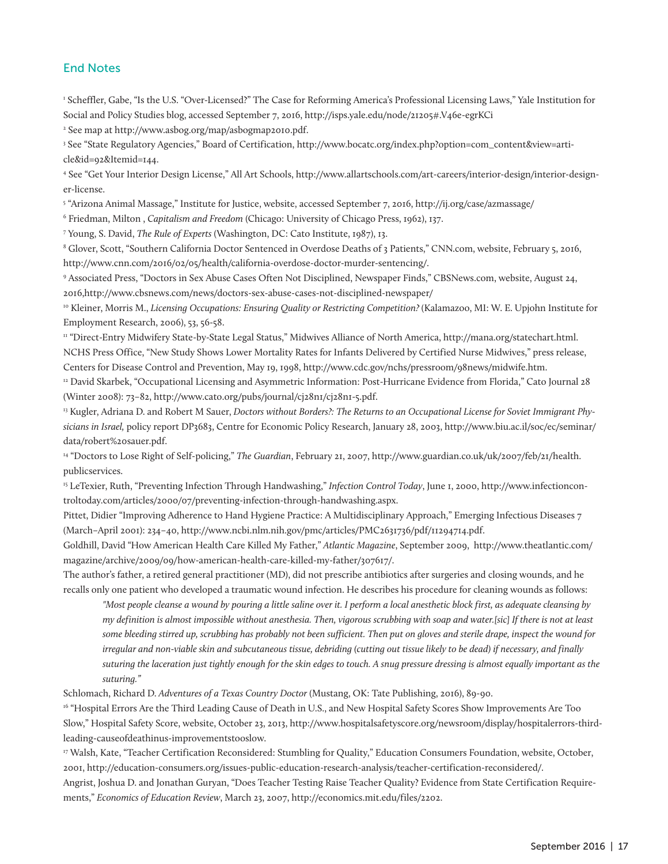### End Notes

1 Scheffler, Gabe, "Is the U.S. "Over-Licensed?" The Case for Reforming America's Professional Licensing Laws," Yale Institution for Social and Policy Studies blog, accessed September 7, 2016, http://isps.yale.edu/node/21205#.V46e-egrKCi

2 See map at http://www.asbog.org/map/asbogmap2010.pdf.

3 See "State Regulatory Agencies," Board of Certification, http://www.bocatc.org/index.php?option=com\_content&view=article&id=92&Itemid=144.

4 See "Get Your Interior Design License," All Art Schools, http://www.allartschools.com/art-careers/interior-design/interior-designer-license.

5 "Arizona Animal Massage," Institute for Justice, website, accessed September 7, 2016, http://ij.org/case/azmassage/

6 Friedman, Milton , *Capitalism and Freedom* (Chicago: University of Chicago Press, 1962), 137.

7 Young, S. David, *The Rule of Experts* (Washington, DC: Cato Institute, 1987), 13.

8 Glover, Scott, "Southern California Doctor Sentenced in Overdose Deaths of 3 Patients," CNN.com, website, February 5, 2016, http://www.cnn.com/2016/02/05/health/california-overdose-doctor-murder-sentencing/.

9 Associated Press, "Doctors in Sex Abuse Cases Often Not Disciplined, Newspaper Finds," CBSNews.com, website, August 24, 2016,http://www.cbsnews.com/news/doctors-sex-abuse-cases-not-disciplined-newspaper/

10 Kleiner, Morris M., *Licensing Occupations: Ensuring Quality or Restricting Competition?* (Kalamazoo, MI: W. E. Upjohn Institute for Employment Research, 2006), 53, 56-58.

<sup>11</sup> "Direct-Entry Midwifery State-by-State Legal Status," Midwives Alliance of North America, http://mana.org/statechart.html. NCHS Press Office, "New Study Shows Lower Mortality Rates for Infants Delivered by Certified Nurse Midwives," press release, Centers for Disease Control and Prevention, May 19, 1998, http://www.cdc.gov/nchs/pressroom/98news/midwife.htm.

12 David Skarbek, "Occupational Licensing and Asymmetric Information: Post-Hurricane Evidence from Florida," Cato Journal 28 (Winter 2008): 73–82, http://www.cato.org/pubs/journal/cj28n1/cj28n1-5.pdf.

<sup>13</sup> Kugler, Adriana D. and Robert M Sauer, *Doctors without Borders?: The Returns to an Occupational License for Soviet Immigrant Physicians in Israel,* policy report DP3683, Centre for Economic Policy Research, January 28, 2003, http://www.biu.ac.il/soc/ec/seminar/ data/robert%20sauer.pdf.

14 "Doctors to Lose Right of Self-policing," *The Guardian*, February 21, 2007, http://www.guardian.co.uk/uk/2007/feb/21/health. publicservices.

15 LeTexier, Ruth, "Preventing Infection Through Handwashing," *Infection Control Today*, June 1, 2000, http://www.infectioncontroltoday.com/articles/2000/07/preventing-infection-through-handwashing.aspx.

Pittet, Didier "Improving Adherence to Hand Hygiene Practice: A Multidisciplinary Approach," Emerging Infectious Diseases 7 (March–April 2001): 234–40, http://www.ncbi.nlm.nih.gov/pmc/articles/PMC2631736/pdf/11294714.pdf.

Goldhill, David "How American Health Care Killed My Father," *Atlantic Magazine*, September 2009, http://www.theatlantic.com/ magazine/archive/2009/09/how-american-health-care-killed-my-father/307617/.

The author's father, a retired general practitioner (MD), did not prescribe antibiotics after surgeries and closing wounds, and he recalls only one patient who developed a traumatic wound infection. He describes his procedure for cleaning wounds as follows:

*"Most people cleanse a wound by pouring a little saline over it. I perform a local anesthetic block first, as adequate cleansing by my definition is almost impossible without anesthesia. Then, vigorous scrubbing with soap and water.[sic] If there is not at least some bleeding stirred up, scrubbing has probably not been sufficient. Then put on gloves and sterile drape, inspect the wound for irregular and non-viable skin and subcutaneous tissue, debriding (cutting out tissue likely to be dead) if necessary, and finally suturing the laceration just tightly enough for the skin edges to touch. A snug pressure dressing is almost equally important as the suturing."*

Schlomach, Richard D. *Adventures of a Texas Country Doctor* (Mustang, OK: Tate Publishing, 2016), 89-90.

<sup>16</sup> "Hospital Errors Are the Third Leading Cause of Death in U.S., and New Hospital Safety Scores Show Improvements Are Too Slow," Hospital Safety Score, website, October 23, 2013, http://www.hospitalsafetyscore.org/newsroom/display/hospitalerrors-thirdleading-causeofdeathinus-improvementstooslow.

17 Walsh, Kate, "Teacher Certification Reconsidered: Stumbling for Quality," Education Consumers Foundation, website, October, 2001, http://education-consumers.org/issues-public-education-research-analysis/teacher-certification-reconsidered/.

Angrist, Joshua D. and Jonathan Guryan, "Does Teacher Testing Raise Teacher Quality? Evidence from State Certification Requirements," *Economics of Education Review*, March 23, 2007, http://economics.mit.edu/files/2202.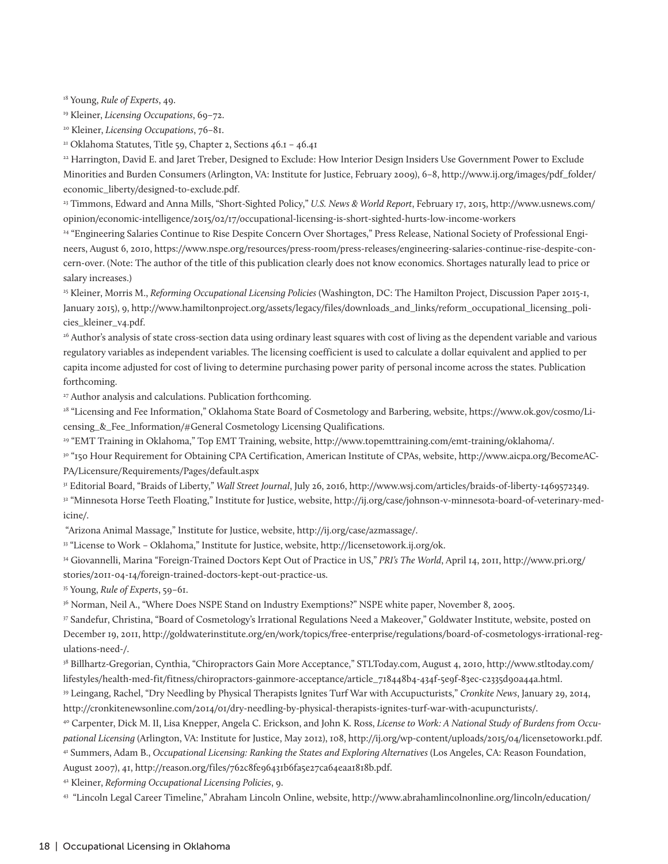18 Young, *Rule of Experts*, 49.

19 Kleiner, *Licensing Occupations*, 69–72.

20 Kleiner, *Licensing Occupations*, 76–81.

<sup>21</sup> Oklahoma Statutes, Title 59, Chapter 2, Sections 46.1 - 46.41

22 Harrington, David E. and Jaret Treber, Designed to Exclude: How Interior Design Insiders Use Government Power to Exclude Minorities and Burden Consumers (Arlington, VA: Institute for Justice, February 2009), 6–8, http://www.ij.org/images/pdf\_folder/ economic\_liberty/designed-to-exclude.pdf.

23 Timmons, Edward and Anna Mills, "Short-Sighted Policy," *U.S. News & World Report*, February 17, 2015, http://www.usnews.com/ opinion/economic-intelligence/2015/02/17/occupational-licensing-is-short-sighted-hurts-low-income-workers

24 "Engineering Salaries Continue to Rise Despite Concern Over Shortages," Press Release, National Society of Professional Engineers, August 6, 2010, https://www.nspe.org/resources/press-room/press-releases/engineering-salaries-continue-rise-despite-concern-over. (Note: The author of the title of this publication clearly does not know economics. Shortages naturally lead to price or salary increases.)

25 Kleiner, Morris M., *Reforming Occupational Licensing Policies* (Washington, DC: The Hamilton Project, Discussion Paper 2015-1, January 2015), 9, http://www.hamiltonproject.org/assets/legacy/files/downloads\_and\_links/reform\_occupational\_licensing\_policies\_kleiner\_v4.pdf.

26 Author's analysis of state cross-section data using ordinary least squares with cost of living as the dependent variable and various regulatory variables as independent variables. The licensing coefficient is used to calculate a dollar equivalent and applied to per capita income adjusted for cost of living to determine purchasing power parity of personal income across the states. Publication forthcoming.

<sup>27</sup> Author analysis and calculations. Publication forthcoming.

28 "Licensing and Fee Information," Oklahoma State Board of Cosmetology and Barbering, website, https://www.ok.gov/cosmo/Licensing & Fee\_Information/#General Cosmetology Licensing Qualifications.

29 "EMT Training in Oklahoma," Top EMT Training, website, http://www.topemttraining.com/emt-training/oklahoma/.

30 "150 Hour Requirement for Obtaining CPA Certification, American Institute of CPAs, website, http://www.aicpa.org/BecomeAC-PA/Licensure/Requirements/Pages/default.aspx

31 Editorial Board, "Braids of Liberty," *Wall Street Journal*, July 26, 2016, http://www.wsj.com/articles/braids-of-liberty-1469572349.

<sup>32</sup> "Minnesota Horse Teeth Floating," Institute for Justice, website, http://ij.org/case/johnson-v-minnesota-board-of-veterinary-medicine/.

"Arizona Animal Massage," Institute for Justice, website, http://ij.org/case/azmassage/.

33 "License to Work – Oklahoma," Institute for Justice, website, http://licensetowork.ij.org/ok.

34 Giovannelli, Marina "Foreign-Trained Doctors Kept Out of Practice in US," *PRI's The World*, April 14, 2011, http://www.pri.org/ stories/2011-04-14/foreign-trained-doctors-kept-out-practice-us.

35 Young, *Rule of Experts*, 59–61.

36 Norman, Neil A., "Where Does NSPE Stand on Industry Exemptions?" NSPE white paper, November 8, 2005.

37 Sandefur, Christina, "Board of Cosmetology's Irrational Regulations Need a Makeover," Goldwater Institute, website, posted on December 19, 2011, http://goldwaterinstitute.org/en/work/topics/free-enterprise/regulations/board-of-cosmetologys-irrational-regulations-need-/.

38 Billhartz-Gregorian, Cynthia, "Chiropractors Gain More Acceptance," STLToday.com, August 4, 2010, http://www.stltoday.com/ lifestyles/health-med-fit/fitness/chiropractors-gainmore-acceptance/article\_718448b4-434f-5e9f-83ec-c2335d90a44a.html.

39 Leingang, Rachel, "Dry Needling by Physical Therapists Ignites Turf War with Accupucturists," *Cronkite News*, January 29, 2014, http://cronkitenewsonline.com/2014/01/dry-needling-by-physical-therapists-ignites-turf-war-with-acupuncturists/.

40 Carpenter, Dick M. II, Lisa Knepper, Angela C. Erickson, and John K. Ross, *License to Work: A National Study of Burdens from Occupational Licensing* (Arlington, VA: Institute for Justice, May 2012), 108, http://ij.org/wp-content/uploads/2015/04/licensetowork1.pdf. 41 Summers, Adam B., *Occupational Licensing: Ranking the States and Exploring Alternatives* (Los Angeles, CA: Reason Foundation, August 2007), 41, http://reason.org/files/762c8fe96431b6fa5e27ca64eaa1818b.pdf.

42 Kleiner, *Reforming Occupational Licensing Policies*, 9.

43 "Lincoln Legal Career Timeline," Abraham Lincoln Online, website, http://www.abrahamlincolnonline.org/lincoln/education/